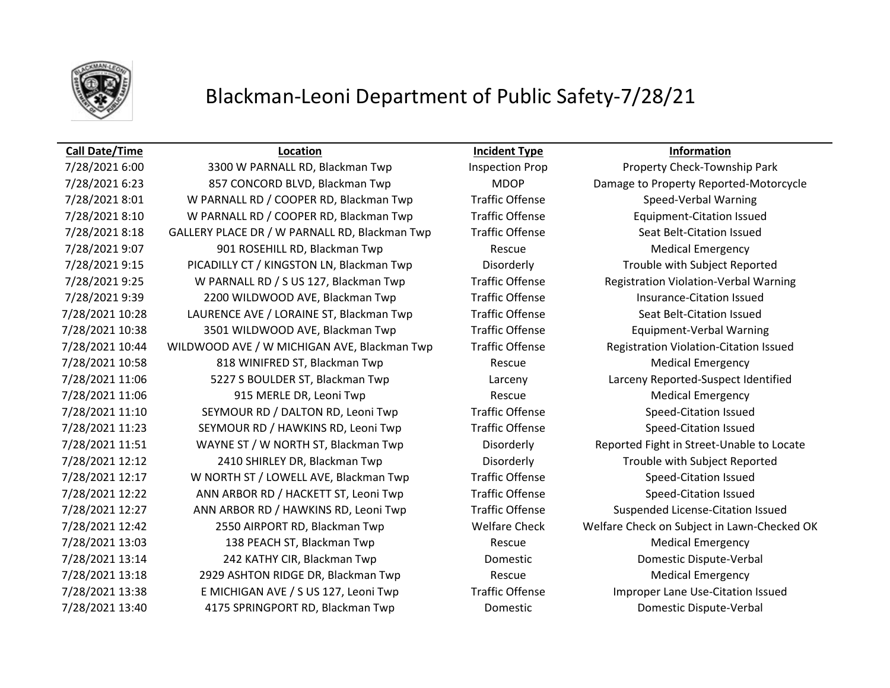

## **Call Date/Time Location Incident Type Information**

7/28/2021 6:23 857 CONCORD BLVD, Blackman Twp MDOP Damage to Property Reported-Motorcycle 7/28/2021 8:01 W PARNALL RD / COOPER RD, Blackman Twp Traffic Offense Speed-Verbal Warning 7/28/2021 8:10 W PARNALL RD / COOPER RD, Blackman Twp Traffic Offense Equipment-Citation Issued 7/28/2021 8:18 GALLERY PLACE DR / W PARNALL RD, Blackman Twp Traffic Offense Seat Belt-Citation Issued 7/28/2021 9:07 901 ROSEHILL RD, Blackman Twp Rescue Rescue Medical Emergency 7/28/2021 9:15 PICADILLY CT / KINGSTON LN, Blackman Twp Disorderly Trouble with Subject Reported 7/28/2021 9:25 W PARNALL RD / S US 127, Blackman Twp Traffic Offense Registration Violation-Verbal Warning 7/28/2021 9:39 2200 WILDWOOD AVE, Blackman Twp Traffic Offense Insurance-Citation Issued 7/28/2021 10:28 LAURENCE AVE / LORAINE ST, Blackman Twp Traffic Offense Seat Belt-Citation Issued 7/28/2021 10:38 3501 WILDWOOD AVE, Blackman Twp Traffic Offense Equipment-Verbal Warning 7/28/2021 10:44 WILDWOOD AVE / W MICHIGAN AVE, Blackman Twp Traffic Offense Registration Violation-Citation Issued 7/28/2021 10:58 618 WINIFRED ST, Blackman Twp Rescue Rescue Medical Emergency 7/28/2021 11:06 5227 S BOULDER ST, Blackman Twp Larceny Larceny Reported-Suspect Identified 7/28/2021 11:06 915 MERLE DR, Leoni Twp Rescue Rescue Medical Emergency 7/28/2021 11:10 SEYMOUR RD / DALTON RD, Leoni Twp Traffic Offense Speed-Citation Issued 7/28/2021 11:23 SEYMOUR RD / HAWKINS RD, Leoni Twp Traffic Offense Speed-Citation Issued 7/28/2021 11:51 WAYNE ST / W NORTH ST, Blackman Twp Disorderly Reported Fight in Street-Unable to Locate 7/28/2021 12:12 2410 SHIRLEY DR, Blackman Twp Disorderly Trouble with Subject Reported 7/28/2021 12:17 W NORTH ST / LOWELL AVE, Blackman Twp Traffic Offense Speed-Citation Issued 7/28/2021 12:22 ANN ARBOR RD / HACKETT ST, Leoni Twp Traffic Offense Speed-Citation Issued 7/28/2021 12:27 ANN ARBOR RD / HAWKINS RD, Leoni Twp Traffic Offense Suspended License-Citation Issued 7/28/2021 12:42 2550 AIRPORT RD, Blackman Twp Welfare Check Welfare Check on Subject in Lawn-Checked OK 7/28/2021 13:03 138 PEACH ST, Blackman Twp Rescue Medical Emergency 7/28/2021 13:14 242 KATHY CIR, Blackman Twp Domestic Domestic Dispute-Verbal 7/28/2021 13:18 2929 ASHTON RIDGE DR, Blackman Twp Rescue Rescue Medical Emergency 7/28/2021 13:38 E MICHIGAN AVE / S US 127, Leoni Twp Traffic Offense Improper Lane Use-Citation Issued

7/28/2021 6:00 3300 W PARNALL RD, Blackman Twp Inspection Prop Property Check-Township Park 7/28/2021 13:40 4175 SPRINGPORT RD, Blackman Twp Domestic Domestic Dispute-Verbal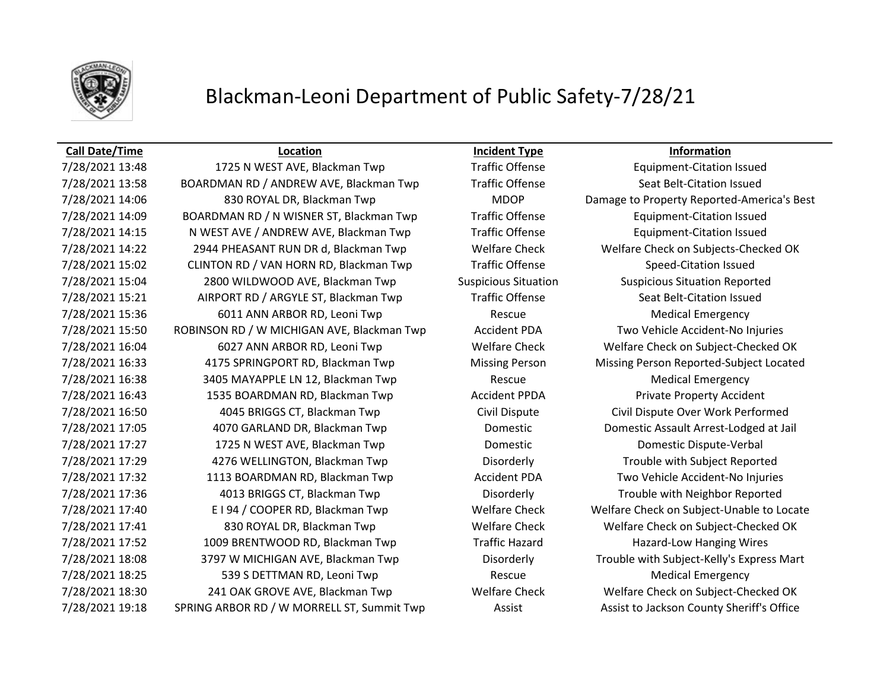

# Blackman-Leoni Department of Public Safety-7/28/21

### **Call Date/Time Location Incident Type Information**

7/28/2021 13:58 BOARDMAN RD / ANDREW AVE, Blackman Twp Traffic Offense Seat Belt-Citation Issued 7/28/2021 14:06 830 ROYAL DR, Blackman Twp MDOP Damage to Property Reported-America's Best 7/28/2021 14:09 BOARDMAN RD / N WISNER ST, Blackman Twp Traffic Offense Equipment-Citation Issued 7/28/2021 14:15 N WEST AVE / ANDREW AVE, Blackman Twp Traffic Offense Equipment-Citation Issued 7/28/2021 14:22 2944 PHEASANT RUN DR d, Blackman Twp Welfare Check Welfare Check on Subjects-Checked OK 7/28/2021 15:02 CLINTON RD / VAN HORN RD, Blackman Twp Traffic Offense Speed-Citation Issued 7/28/2021 15:04 2800 WILDWOOD AVE, Blackman Twp Suspicious Situation Suspicious Situation Reported 7/28/2021 15:21 AIRPORT RD / ARGYLE ST, Blackman Twp Traffic Offense Seat Belt-Citation Issued 7/28/2021 15:36 6011 ANN ARBOR RD, Leoni Twp Rescue Rescue Medical Emergency 7/28/2021 15:50 ROBINSON RD / W MICHIGAN AVE, Blackman Twp Accident PDA Two Vehicle Accident-No Injuries 7/28/2021 16:04 6027 ANN ARBOR RD, Leoni Twp Welfare Check Welfare Check on Subject-Checked OK 7/28/2021 16:33 4175 SPRINGPORT RD, Blackman Twp Missing Person Missing Person Reported-Subject Located 7/28/2021 16:38 3405 MAYAPPLE LN 12, Blackman Twp Rescue Rescue Medical Emergency 7/28/2021 16:43 1535 BOARDMAN RD, Blackman Twp Accident PPDA Private Property Accident 7/28/2021 16:50 4045 BRIGGS CT, Blackman Twp Civil Dispute Civil Dispute Over Work Performed 7/28/2021 17:05 4070 GARLAND DR, Blackman Twp Domestic Domestic Assault Arrest-Lodged at Jail 7/28/2021 17:27 1725 N WEST AVE, Blackman Twp Domestic Domestic Dispute-Verbal 7/28/2021 17:29 4276 WELLINGTON, Blackman Twp Disorderly Trouble with Subject Reported 7/28/2021 17:32 1113 BOARDMAN RD, Blackman Twp Accident PDA Two Vehicle Accident-No Injuries 7/28/2021 17:36 4013 BRIGGS CT, Blackman Twp Disorderly Trouble with Neighbor Reported 7/28/2021 17:40 E I 94 / COOPER RD, Blackman Twp Welfare Check Welfare Check on Subject-Unable to Locate 7/28/2021 17:41 830 ROYAL DR, Blackman Twp Welfare Check Welfare Check on Subject-Checked OK 7/28/2021 17:52 1009 BRENTWOOD RD, Blackman Twp Traffic Hazard Hazard-Low Hanging Wires 7/28/2021 18:08 3797 W MICHIGAN AVE, Blackman Twp Disorderly Trouble with Subject-Kelly's Express Mart 7/28/2021 18:25 539 S DETTMAN RD, Leoni Twp Rescue Rescue Medical Emergency 7/28/2021 18:30 241 OAK GROVE AVE, Blackman Twp Welfare Check Welfare Check on Subject-Checked OK 7/28/2021 19:18 SPRING ARBOR RD / W MORRELL ST, Summit Twp Assist Assist Assist to Jackson County Sheriff's Office

7/28/2021 13:48 1725 N WEST AVE, Blackman Twp Traffic Offense Equipment-Citation Issued